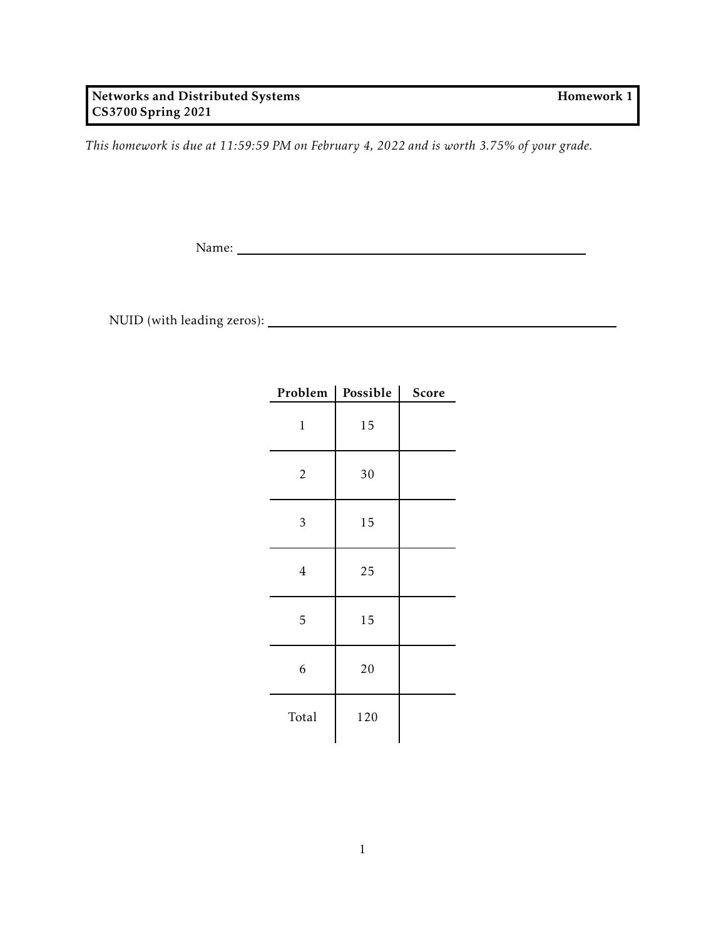*This homework is due at 11:59:59 PM on February 4, 2022 and is worth 3.75% of your grade.*

Name:

NUID (with leading zeros):

| Problem        | Possible | Score |
|----------------|----------|-------|
| $\mathbf{1}$   | 15       |       |
| 2              | 30       |       |
| 3              | 15       |       |
| $\overline{4}$ | 25       |       |
| 5              | 15       |       |
| 6              | 20       |       |
| Total          | 120      |       |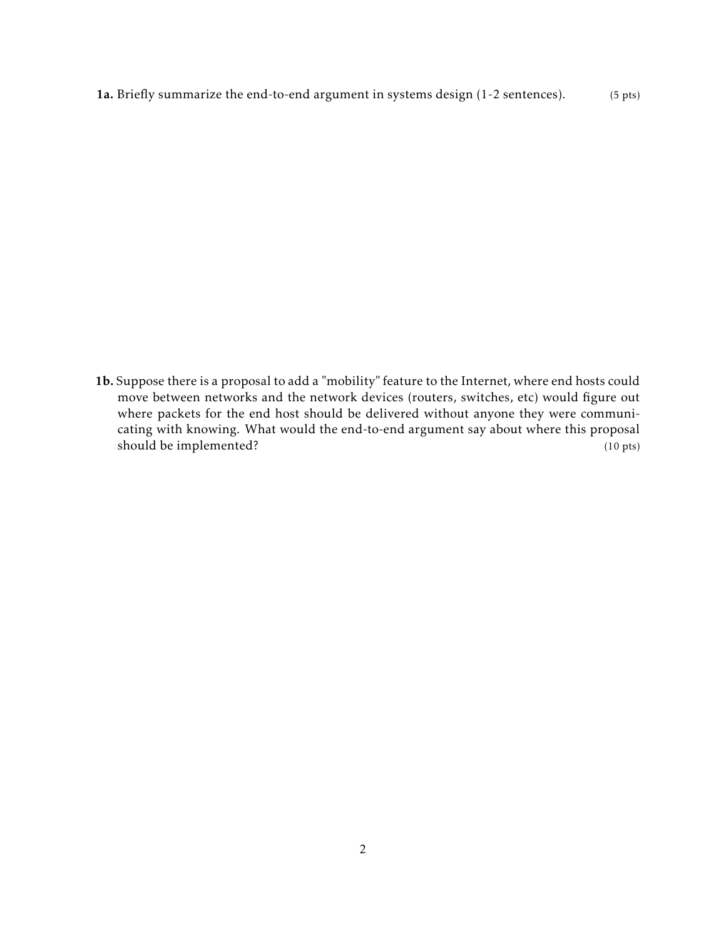1a. Briefly summarize the end-to-end argument in systems design (1-2 sentences). (5 pts)

1b. Suppose there is a proposal to add a "mobility" feature to the Internet, where end hosts could move between networks and the network devices (routers, switches, etc) would figure out where packets for the end host should be delivered without anyone they were communicating with knowing. What would the end-to-end argument say about where this proposal should be implemented? (10 pts)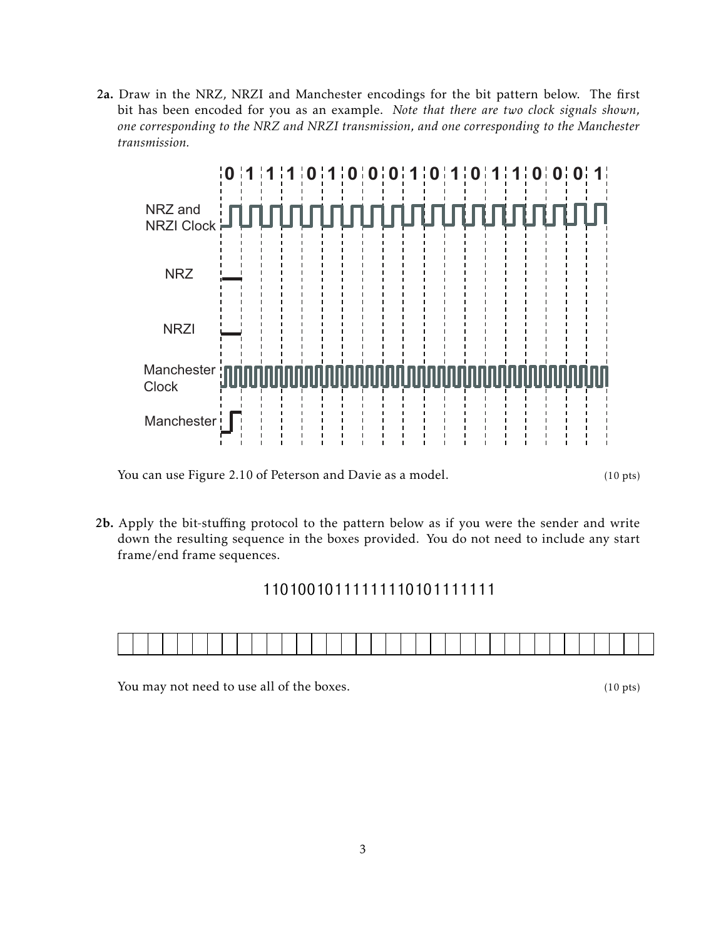2a. Draw in the NRZ, NRZI and Manchester encodings for the bit pattern below. The first bit has been encoded for you as an example. *Note that there are two clock signals shown, one corresponding to the NRZ and NRZI transmission, and one corresponding to the Manchester transmission.*



You can use Figure 2.10 of Peterson and Davie as a model. (10 pts)

2b. Apply the bit-stuffing protocol to the pattern below as if you were the sender and write down the resulting sequence in the boxes provided. You do not need to include any start frame/end frame sequences.

## 11010010111111110101111111



You may not need to use all of the boxes. (10 pts)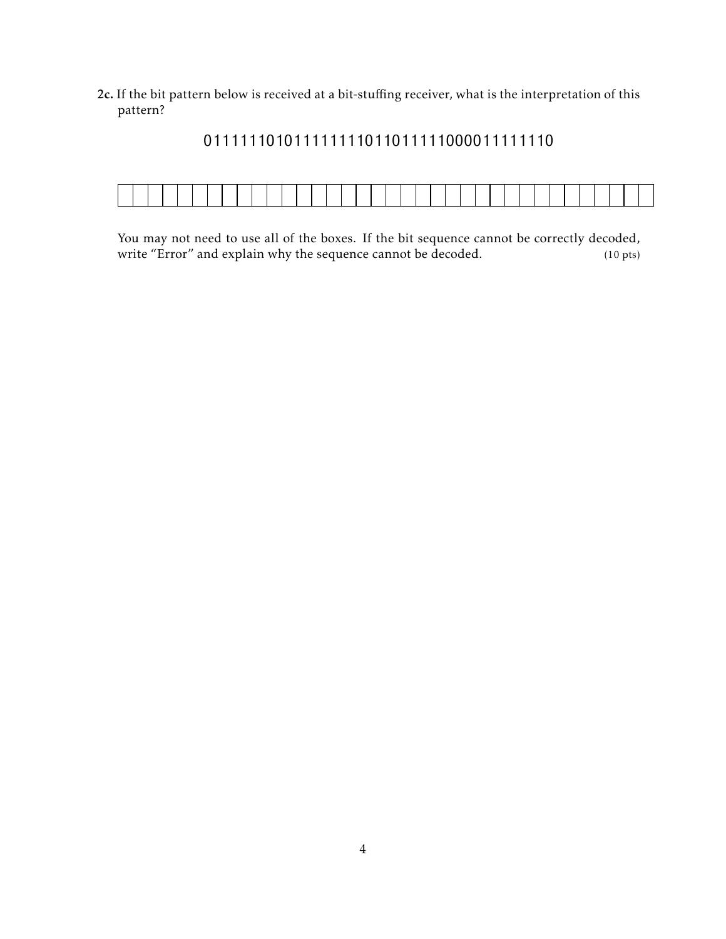2c. If the bit pattern below is received at a bit-stuffing receiver, what is the interpretation of this pattern?



## 011111101011111111011011111000011111110

You may not need to use all of the boxes. If the bit sequence cannot be correctly decoded, write "Error" and explain why the sequence cannot be decoded. (10 pts)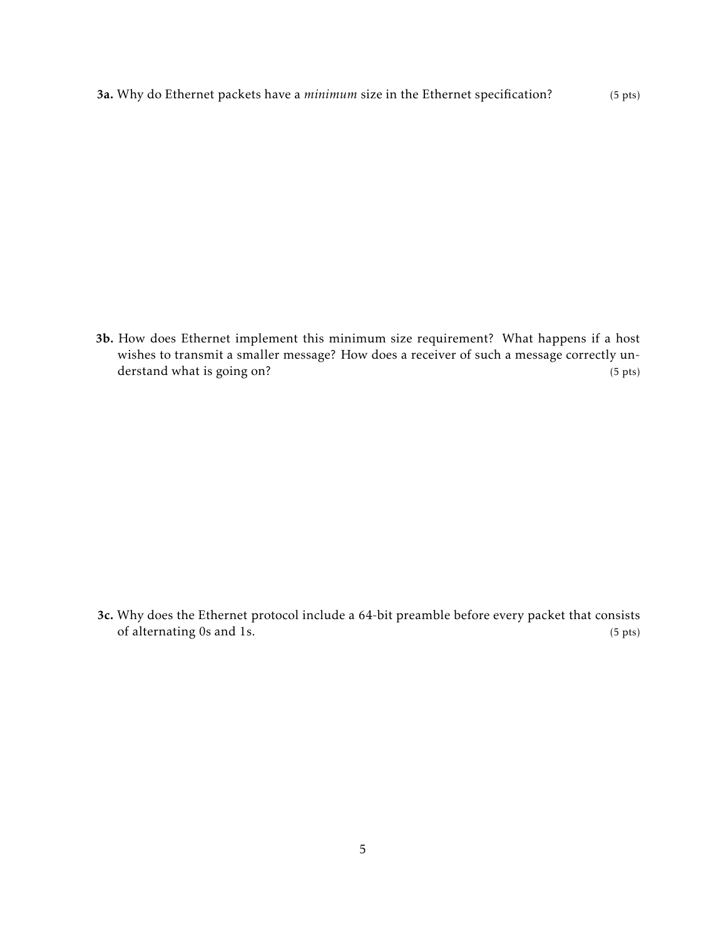3a. Why do Ethernet packets have a *minimum* size in the Ethernet specification? (5 pts)

3b. How does Ethernet implement this minimum size requirement? What happens if a host wishes to transmit a smaller message? How does a receiver of such a message correctly understand what is going on? (5 pts)

3c. Why does the Ethernet protocol include a 64-bit preamble before every packet that consists of alternating 0s and 1s. (5 pts)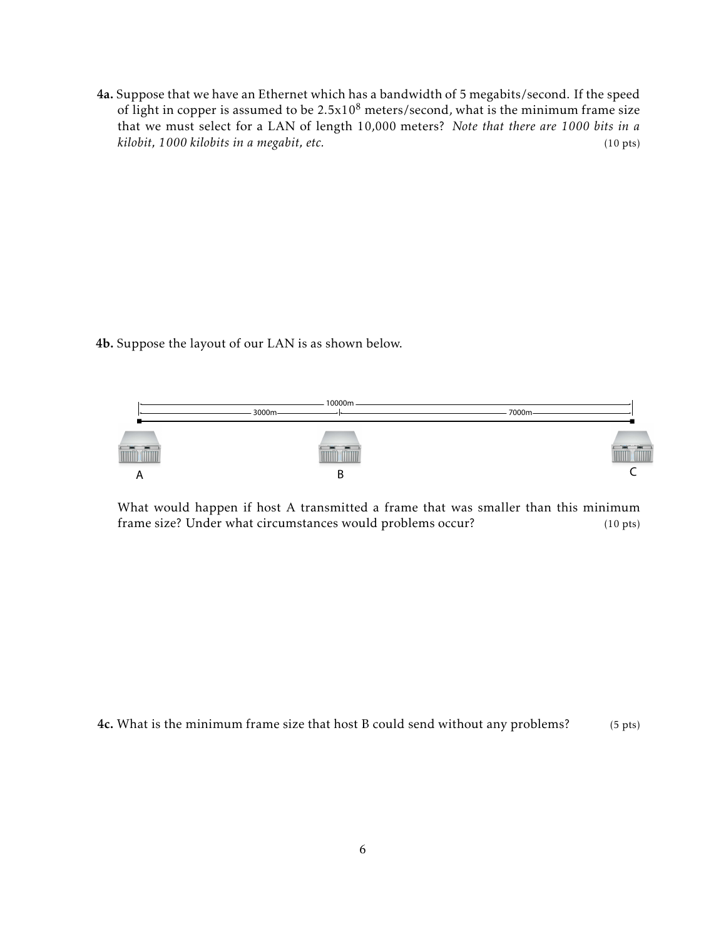4a. Suppose that we have an Ethernet which has a bandwidth of 5 megabits/second. If the speed of light in copper is assumed to be  $2.5x10^8$  meters/second, what is the minimum frame size that we must select for a LAN of length 10,000 meters? *Note that there are 1000 bits in a kilobit, 1000 kilobits in a megabit, etc.* (10 pts)

4b. Suppose the layout of our LAN is as shown below.



What would happen if host A transmitted a frame that was smaller than this minimum frame size? Under what circumstances would problems occur? (10 pts)

4c. What is the minimum frame size that host B could send without any problems? (5 pts)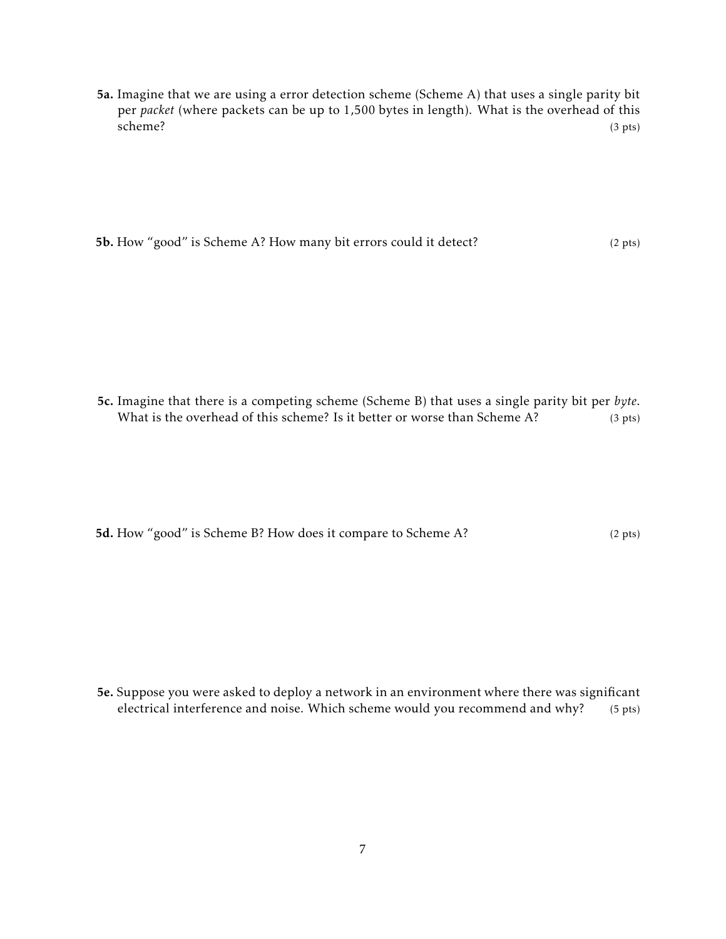5a. Imagine that we are using a error detection scheme (Scheme A) that uses a single parity bit per *packet* (where packets can be up to 1,500 bytes in length). What is the overhead of this scheme? (3 pts)

5b. How "good" is Scheme A? How many bit errors could it detect? (2 pts)

5c. Imagine that there is a competing scheme (Scheme B) that uses a single parity bit per *byte*. What is the overhead of this scheme? Is it better or worse than Scheme A? (3 pts)

5d. How "good" is Scheme B? How does it compare to Scheme A? (2 pts)

5e. Suppose you were asked to deploy a network in an environment where there was significant electrical interference and noise. Which scheme would you recommend and why? (5 pts)